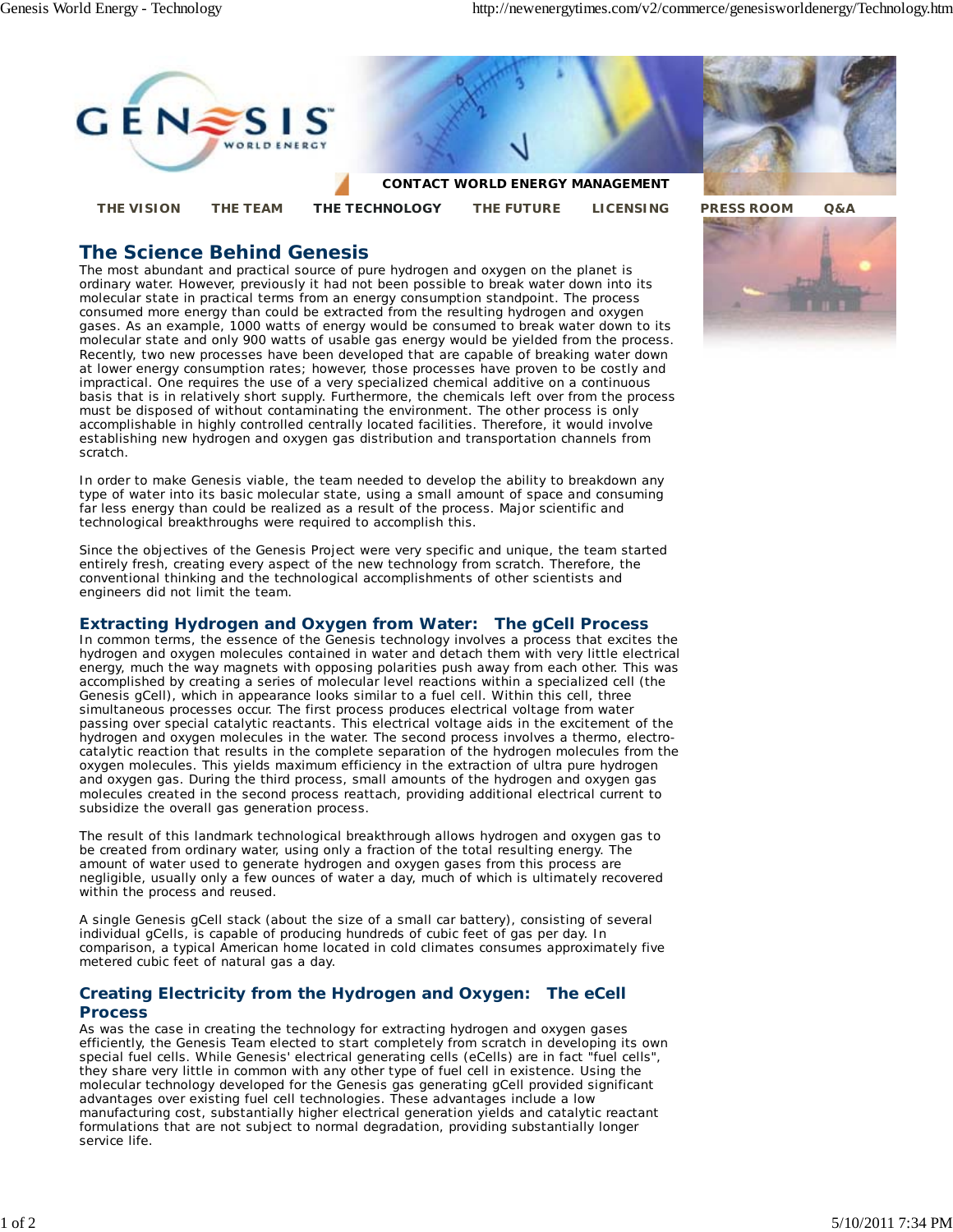

# **The Science Behind Genesis**

The most abundant and practical source of pure hydrogen and oxygen on the planet is ordinary water. However, previously it had not been possible to break water down into its molecular state in practical terms from an energy consumption standpoint. The process consumed more energy than could be extracted from the resulting hydrogen and oxygen gases. As an example, 1000 watts of energy would be consumed to break water down to its molecular state and only 900 watts of usable gas energy would be yielded from the process. Recently, two new processes have been developed that are capable of breaking water down at lower energy consumption rates; however, those processes have proven to be costly and impractical. One requires the use of a very specialized chemical additive on a continuous basis that is in relatively short supply. Furthermore, the chemicals left over from the process must be disposed of without contaminating the environment. The other process is only accomplishable in highly controlled centrally located facilities. Therefore, it would involve establishing new hydrogen and oxygen gas distribution and transportation channels from scratch.

In order to make Genesis viable, the team needed to develop the ability to breakdown any type of water into its basic molecular state, using a small amount of space and consuming far less energy than could be realized as a result of the process. Major scientific and technological breakthroughs were required to accomplish this.

Since the objectives of the Genesis Project were very specific and unique, the team started entirely fresh, creating every aspect of the new technology from scratch. Therefore, the conventional thinking and the technological accomplishments of other scientists and engineers did not limit the team.

# **Extracting Hydrogen and Oxygen from Water: The gCell Process**

In common terms, the essence of the Genesis technology involves a process that excites the hydrogen and oxygen molecules contained in water and detach them with very little electrical energy, much the way magnets with opposing polarities push away from each other. This was accomplished by creating a series of molecular level reactions within a specialized cell (the Genesis gCell), which in appearance looks similar to a fuel cell. Within this cell, three simultaneous processes occur. The first process produces electrical voltage from water passing over special catalytic reactants. This electrical voltage aids in the excitement of the hydrogen and oxygen molecules in the water. The second process involves a thermo, electrocatalytic reaction that results in the complete separation of the hydrogen molecules from the oxygen molecules. This yields maximum efficiency in the extraction of ultra pure hydrogen and oxygen gas. During the third process, small amounts of the hydrogen and oxygen gas molecules created in the second process reattach, providing additional electrical current to subsidize the overall gas generation process.

The result of this landmark technological breakthrough allows hydrogen and oxygen gas to be created from ordinary water, using only a fraction of the total resulting energy. The amount of water used to generate hydrogen and oxygen gases from this process are negligible, usually only a few ounces of water a day, much of which is ultimately recovered within the process and reused.

A single Genesis gCell stack (about the size of a small car battery), consisting of several individual gCells, is capable of producing hundreds of cubic feet of gas per day. In comparison, a typical American home located in cold climates consumes approximately five metered cubic feet of natural gas a day.

# **Creating Electricity from the Hydrogen and Oxygen: The eCell Process**

As was the case in creating the technology for extracting hydrogen and oxygen gases efficiently, the Genesis Team elected to start completely from scratch in developing its own special fuel cells. While Genesis' electrical generating cells (eCells) are in fact "fuel cells", they share very little in common with any other type of fuel cell in existence. Using the molecular technology developed for the Genesis gas generating gCell provided significant advantages over existing fuel cell technologies. These advantages include a low manufacturing cost, substantially higher electrical generation yields and catalytic reactant formulations that are not subject to normal degradation, providing substantially longer service life.